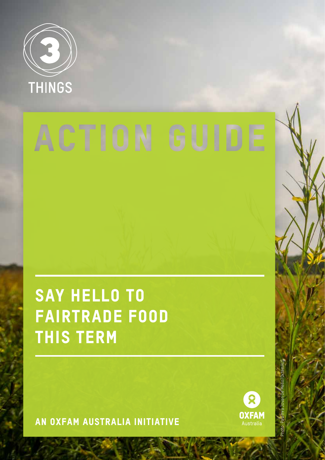

# ACTION GUIDE

# SAY HELLO TO fairtrade food this term

An oxfam Australia initiative



Photo: Pavithra Jovan De Mello/OxfamAUS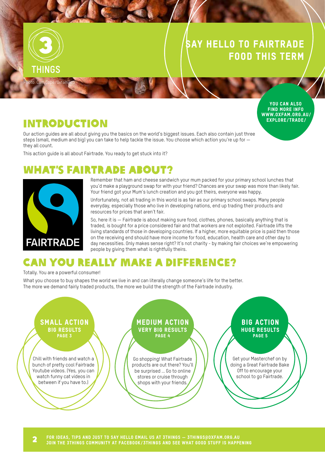#### Say hello to fairtrade food this term



#### You can also Find more info www.oxfam.org.au/ explore/trade/

#### **INTRODUCTION**

Our action guides are all about giving you the basics on the world's biggest issues. Each also contain just three steps (small, medium and big) you can take to help tackle the issue. You choose which action you're up for they all count.

This action guide is all about Fairtrade. You ready to get stuck into it?

## **NT'S FAIRTRADE ABOUT?**



Remember that ham and cheese sandwich your mum packed for your primary school lunches that you'd make a playground swap for with your friend? Chances are your swap was more than likely fair. Your friend got your Mum's lunch creation and you got theirs, everyone was happy.

Unfortunately, not all trading in this world is as fair as our primary school swaps. Many people everyday, especially those who live in developing nations, end up trading their products and resources for prices that aren't fair.

So, here it is — Fairtrade is about making sure food, clothes, phones, basically anything that is traded, is bought for a price considered fair and that workers are not exploited. Fairtrade lifts the living standards of those in developing countries. If a higher, more equitable price is paid then those on the receiving end should have more income for food, education, health care and other day to day necessities. Only makes sense right? It's not charity - by making fair choices we're empowering people by giving them what is rightfully theirs.

# Can you really make a difference?

Totally. You are a powerful consumer!

What you choose to buy shapes the world we live in and can literally change someone's life for the better. The more we demand fairly traded products, the more we build the strength of the Fairtrade industry.

#### Chill with friends and watch a bunch of pretty cool Fairtrade Youtube videos. (Yes, you can watch funny cat videos in between if you have to.) Go shopping! What Fairtrade products are out there? You'll be surprised … Go to online stores or cruise through shops with your friends. Get your Masterchef on by doing a Great Fairtrade Bake Off to encourage your school to go Fairtrade. Small action Big results PAGE<sub>3</sub> Medium action Very big results PAGE<sub>4</sub> Big action Huge results PAGE<sub>5</sub>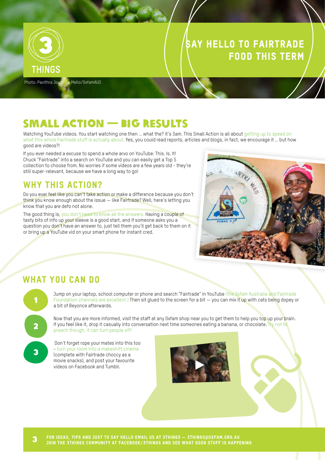

#### Say hello to fairtrade food this term

Photo: Pavithra Jovan De Mello/OxfamAUS

#### Small action — big results

Watching YouTube videos. You start watching one then … what the? it's 3am. This Small Action is all about getting up to speed on what this whole Fairtrade stuff is actually about. Yes, you could read reports, articles and blogs, in fact, we encourage it ... but how good are videos?!

If you ever needed a excuse to spend a whole arvo on YouTube: This. Is. It! Chuck "Fairtrade" into a search on YouTube and you can easily get a Top 5 collection to choose from. No worries if some videos are a few years old - they're still super-relevant, because we have a long way to go!

#### WHY THIS ACTION?

Do you ever feel like you can't take action or make a difference because you don't think you know enough about the issue — like Fairtrade? Well, here's letting you know that you are defo not alone.

The good thing is, you don't need to know all the answers. Having a couple of tasty bits of info up your sleeve is a good start, and if someone asks you a question you don't have an answer to, just tell them you'll get back to them on it or bring up a YouTube vid on your smart phone for instant cred.



#### WHAT YOU CAN DO



Jump on your laptop, school computer or phone and search "Fairtrade" in YouTube (the Oxfam Australia and Fairtrade Foundation channels are excellent.) Then sit glued to the screen for a bit — you can mix it up with cats being dopey or a bit of Beyonce afterwards.

Now that you are more informed, visit the staff at any Oxfam shop near you to get them to help you top up your brain. If you feel like it, drop it casually into conversation next time someones eating a banana, or chocolate. Try not to preach though, it can turn people off!

 Don't forget rope your mates into this too - turn your room into a makeshift cinema (complete with Fairtrade choccy as a movie snacks), and post your favourite videos on Facebook and Tumblr.



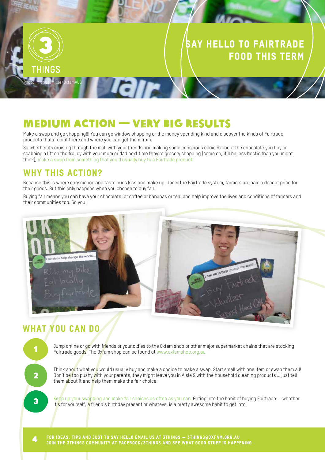#### Say hello to fairtrade food this term



## Medium Action — Very Big Results

Tair

Make a swap and go shopping!!! You can go window shopping or the money spending kind and discover the kinds of Fairtrade products that are out there and where you can get them from.

So whether its cruising through the mall with your friends and making some conscious choices about the chocolate you buy or scabbing a lift on the trolley with your mum or dad next time they're grocery shopping (come on, it'll be less hectic than you might think), make a swap from something that you'd usually buy to a Fairtrade product.

#### WHY THIS ACTION?

Because this is where conscience and taste buds kiss and make up. Under the Fairtrade system, farmers are paid a decent price for their goods. But this only happens when you choose to buy fair!

Buying fair means you can have your chocolate (or coffee or bananas or tea) and help improve the lives and conditions of farmers and their communities too. Go you!



#### WHAT YOU CAN DO



Jump online or go with friends or your oldies to the Oxfam shop or other major supermarket chains that are stocking Fairtrade goods. The Oxfam shop can be found at www.oxfamshop.org.au

Think about what you would usually buy and make a choice to make a swap. Start small with one item or swap them all! Don't be too pushy with your parents, they might leave you in Aisle 9 with the household cleaning products … just tell them about it and help them make the fair choice.

 Keep up your swapping and make fair choices as often as you can. Geting into the habit of buying Fairtrade — whether it's for yourself, a friend's birthday present or whatevs, is a pretty awesome habit to get into.